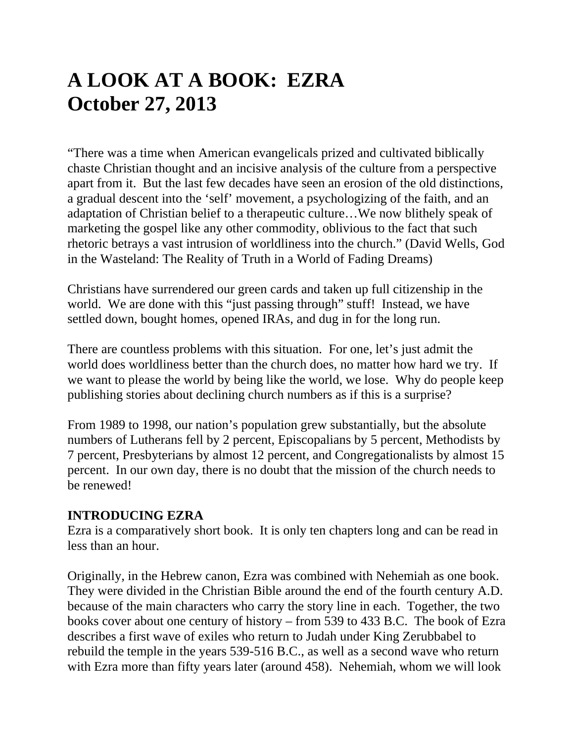# **A LOOK AT A BOOK: EZRA October 27, 2013**

"There was a time when American evangelicals prized and cultivated biblically chaste Christian thought and an incisive analysis of the culture from a perspective apart from it. But the last few decades have seen an erosion of the old distinctions, a gradual descent into the 'self' movement, a psychologizing of the faith, and an adaptation of Christian belief to a therapeutic culture…We now blithely speak of marketing the gospel like any other commodity, oblivious to the fact that such rhetoric betrays a vast intrusion of worldliness into the church." (David Wells, God in the Wasteland: The Reality of Truth in a World of Fading Dreams)

Christians have surrendered our green cards and taken up full citizenship in the world. We are done with this "just passing through" stuff! Instead, we have settled down, bought homes, opened IRAs, and dug in for the long run.

There are countless problems with this situation. For one, let's just admit the world does worldliness better than the church does, no matter how hard we try. If we want to please the world by being like the world, we lose. Why do people keep publishing stories about declining church numbers as if this is a surprise?

From 1989 to 1998, our nation's population grew substantially, but the absolute numbers of Lutherans fell by 2 percent, Episcopalians by 5 percent, Methodists by 7 percent, Presbyterians by almost 12 percent, and Congregationalists by almost 15 percent. In our own day, there is no doubt that the mission of the church needs to be renewed!

#### **INTRODUCING EZRA**

Ezra is a comparatively short book. It is only ten chapters long and can be read in less than an hour.

Originally, in the Hebrew canon, Ezra was combined with Nehemiah as one book. They were divided in the Christian Bible around the end of the fourth century A.D. because of the main characters who carry the story line in each. Together, the two books cover about one century of history – from 539 to 433 B.C. The book of Ezra describes a first wave of exiles who return to Judah under King Zerubbabel to rebuild the temple in the years 539-516 B.C., as well as a second wave who return with Ezra more than fifty years later (around 458). Nehemiah, whom we will look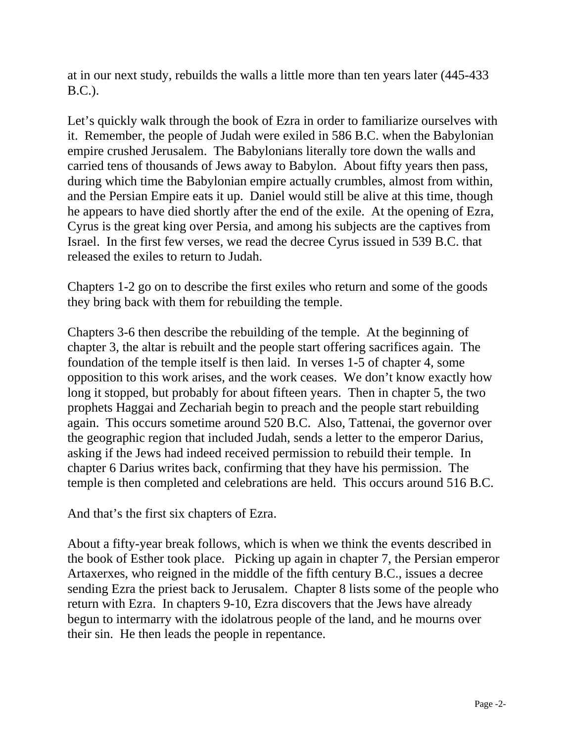at in our next study, rebuilds the walls a little more than ten years later (445-433 B.C.).

Let's quickly walk through the book of Ezra in order to familiarize ourselves with it. Remember, the people of Judah were exiled in 586 B.C. when the Babylonian empire crushed Jerusalem. The Babylonians literally tore down the walls and carried tens of thousands of Jews away to Babylon. About fifty years then pass, during which time the Babylonian empire actually crumbles, almost from within, and the Persian Empire eats it up. Daniel would still be alive at this time, though he appears to have died shortly after the end of the exile. At the opening of Ezra, Cyrus is the great king over Persia, and among his subjects are the captives from Israel. In the first few verses, we read the decree Cyrus issued in 539 B.C. that released the exiles to return to Judah.

Chapters 1-2 go on to describe the first exiles who return and some of the goods they bring back with them for rebuilding the temple.

Chapters 3-6 then describe the rebuilding of the temple. At the beginning of chapter 3, the altar is rebuilt and the people start offering sacrifices again. The foundation of the temple itself is then laid. In verses 1-5 of chapter 4, some opposition to this work arises, and the work ceases. We don't know exactly how long it stopped, but probably for about fifteen years. Then in chapter 5, the two prophets Haggai and Zechariah begin to preach and the people start rebuilding again. This occurs sometime around 520 B.C. Also, Tattenai, the governor over the geographic region that included Judah, sends a letter to the emperor Darius, asking if the Jews had indeed received permission to rebuild their temple. In chapter 6 Darius writes back, confirming that they have his permission. The temple is then completed and celebrations are held. This occurs around 516 B.C.

And that's the first six chapters of Ezra.

About a fifty-year break follows, which is when we think the events described in the book of Esther took place. Picking up again in chapter 7, the Persian emperor Artaxerxes, who reigned in the middle of the fifth century B.C., issues a decree sending Ezra the priest back to Jerusalem. Chapter 8 lists some of the people who return with Ezra. In chapters 9-10, Ezra discovers that the Jews have already begun to intermarry with the idolatrous people of the land, and he mourns over their sin. He then leads the people in repentance.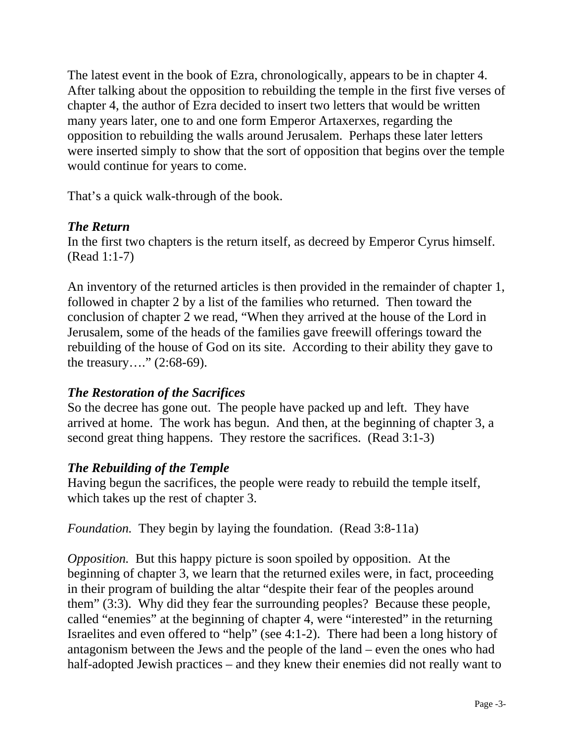The latest event in the book of Ezra, chronologically, appears to be in chapter 4. After talking about the opposition to rebuilding the temple in the first five verses of chapter 4, the author of Ezra decided to insert two letters that would be written many years later, one to and one form Emperor Artaxerxes, regarding the opposition to rebuilding the walls around Jerusalem. Perhaps these later letters were inserted simply to show that the sort of opposition that begins over the temple would continue for years to come.

That's a quick walk-through of the book.

# *The Return*

In the first two chapters is the return itself, as decreed by Emperor Cyrus himself. (Read 1:1-7)

An inventory of the returned articles is then provided in the remainder of chapter 1, followed in chapter 2 by a list of the families who returned. Then toward the conclusion of chapter 2 we read, "When they arrived at the house of the Lord in Jerusalem, some of the heads of the families gave freewill offerings toward the rebuilding of the house of God on its site. According to their ability they gave to the treasury…." (2:68-69).

# *The Restoration of the Sacrifices*

So the decree has gone out. The people have packed up and left. They have arrived at home. The work has begun. And then, at the beginning of chapter 3, a second great thing happens. They restore the sacrifices. (Read 3:1-3)

# *The Rebuilding of the Temple*

Having begun the sacrifices, the people were ready to rebuild the temple itself, which takes up the rest of chapter 3.

*Foundation.* They begin by laying the foundation. (Read 3:8-11a)

*Opposition.* But this happy picture is soon spoiled by opposition. At the beginning of chapter 3, we learn that the returned exiles were, in fact, proceeding in their program of building the altar "despite their fear of the peoples around them" (3:3). Why did they fear the surrounding peoples? Because these people, called "enemies" at the beginning of chapter 4, were "interested" in the returning Israelites and even offered to "help" (see 4:1-2). There had been a long history of antagonism between the Jews and the people of the land – even the ones who had half-adopted Jewish practices – and they knew their enemies did not really want to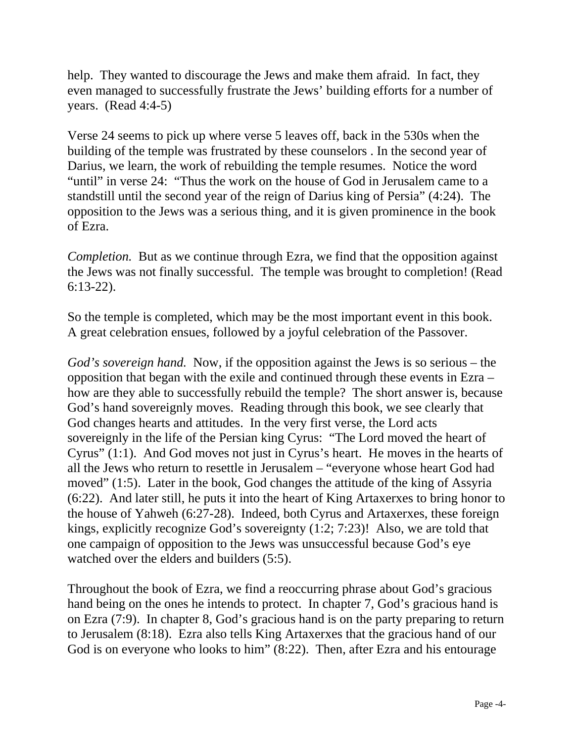help. They wanted to discourage the Jews and make them afraid. In fact, they even managed to successfully frustrate the Jews' building efforts for a number of years. (Read 4:4-5)

Verse 24 seems to pick up where verse 5 leaves off, back in the 530s when the building of the temple was frustrated by these counselors . In the second year of Darius, we learn, the work of rebuilding the temple resumes. Notice the word "until" in verse 24: "Thus the work on the house of God in Jerusalem came to a standstill until the second year of the reign of Darius king of Persia" (4:24). The opposition to the Jews was a serious thing, and it is given prominence in the book of Ezra.

*Completion.* But as we continue through Ezra, we find that the opposition against the Jews was not finally successful. The temple was brought to completion! (Read 6:13-22).

So the temple is completed, which may be the most important event in this book. A great celebration ensues, followed by a joyful celebration of the Passover.

*God's sovereign hand.* Now, if the opposition against the Jews is so serious – the opposition that began with the exile and continued through these events in Ezra – how are they able to successfully rebuild the temple? The short answer is, because God's hand sovereignly moves. Reading through this book, we see clearly that God changes hearts and attitudes. In the very first verse, the Lord acts sovereignly in the life of the Persian king Cyrus: "The Lord moved the heart of Cyrus" (1:1). And God moves not just in Cyrus's heart. He moves in the hearts of all the Jews who return to resettle in Jerusalem – "everyone whose heart God had moved" (1:5). Later in the book, God changes the attitude of the king of Assyria (6:22). And later still, he puts it into the heart of King Artaxerxes to bring honor to the house of Yahweh (6:27-28). Indeed, both Cyrus and Artaxerxes, these foreign kings, explicitly recognize God's sovereignty (1:2; 7:23)! Also, we are told that one campaign of opposition to the Jews was unsuccessful because God's eye watched over the elders and builders (5:5).

Throughout the book of Ezra, we find a reoccurring phrase about God's gracious hand being on the ones he intends to protect. In chapter 7, God's gracious hand is on Ezra (7:9). In chapter 8, God's gracious hand is on the party preparing to return to Jerusalem (8:18). Ezra also tells King Artaxerxes that the gracious hand of our God is on everyone who looks to him" (8:22). Then, after Ezra and his entourage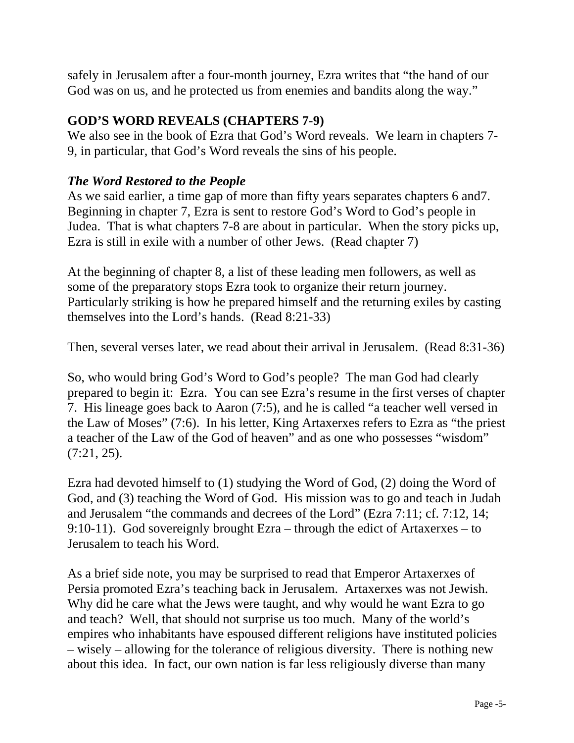safely in Jerusalem after a four-month journey, Ezra writes that "the hand of our God was on us, and he protected us from enemies and bandits along the way."

### **GOD'S WORD REVEALS (CHAPTERS 7-9)**

We also see in the book of Ezra that God's Word reveals. We learn in chapters 7- 9, in particular, that God's Word reveals the sins of his people.

# *The Word Restored to the People*

As we said earlier, a time gap of more than fifty years separates chapters 6 and7. Beginning in chapter 7, Ezra is sent to restore God's Word to God's people in Judea. That is what chapters 7-8 are about in particular. When the story picks up, Ezra is still in exile with a number of other Jews. (Read chapter 7)

At the beginning of chapter 8, a list of these leading men followers, as well as some of the preparatory stops Ezra took to organize their return journey. Particularly striking is how he prepared himself and the returning exiles by casting themselves into the Lord's hands. (Read 8:21-33)

Then, several verses later, we read about their arrival in Jerusalem. (Read 8:31-36)

So, who would bring God's Word to God's people? The man God had clearly prepared to begin it: Ezra. You can see Ezra's resume in the first verses of chapter 7. His lineage goes back to Aaron (7:5), and he is called "a teacher well versed in the Law of Moses" (7:6). In his letter, King Artaxerxes refers to Ezra as "the priest a teacher of the Law of the God of heaven" and as one who possesses "wisdom" (7:21, 25).

Ezra had devoted himself to (1) studying the Word of God, (2) doing the Word of God, and (3) teaching the Word of God. His mission was to go and teach in Judah and Jerusalem "the commands and decrees of the Lord" (Ezra 7:11; cf. 7:12, 14; 9:10-11). God sovereignly brought Ezra – through the edict of Artaxerxes – to Jerusalem to teach his Word.

As a brief side note, you may be surprised to read that Emperor Artaxerxes of Persia promoted Ezra's teaching back in Jerusalem. Artaxerxes was not Jewish. Why did he care what the Jews were taught, and why would he want Ezra to go and teach? Well, that should not surprise us too much. Many of the world's empires who inhabitants have espoused different religions have instituted policies – wisely – allowing for the tolerance of religious diversity. There is nothing new about this idea. In fact, our own nation is far less religiously diverse than many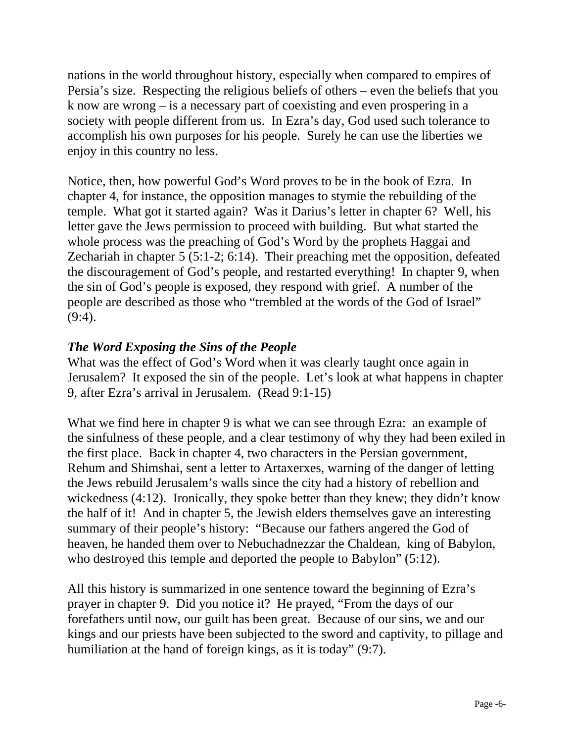nations in the world throughout history, especially when compared to empires of Persia's size. Respecting the religious beliefs of others – even the beliefs that you k now are wrong – is a necessary part of coexisting and even prospering in a society with people different from us. In Ezra's day, God used such tolerance to accomplish his own purposes for his people. Surely he can use the liberties we enjoy in this country no less.

Notice, then, how powerful God's Word proves to be in the book of Ezra. In chapter 4, for instance, the opposition manages to stymie the rebuilding of the temple. What got it started again? Was it Darius's letter in chapter 6? Well, his letter gave the Jews permission to proceed with building. But what started the whole process was the preaching of God's Word by the prophets Haggai and Zechariah in chapter 5 (5:1-2; 6:14). Their preaching met the opposition, defeated the discouragement of God's people, and restarted everything! In chapter 9, when the sin of God's people is exposed, they respond with grief. A number of the people are described as those who "trembled at the words of the God of Israel"  $(9:4)$ .

# *The Word Exposing the Sins of the People*

What was the effect of God's Word when it was clearly taught once again in Jerusalem? It exposed the sin of the people. Let's look at what happens in chapter 9, after Ezra's arrival in Jerusalem. (Read 9:1-15)

What we find here in chapter 9 is what we can see through Ezra: an example of the sinfulness of these people, and a clear testimony of why they had been exiled in the first place. Back in chapter 4, two characters in the Persian government, Rehum and Shimshai, sent a letter to Artaxerxes, warning of the danger of letting the Jews rebuild Jerusalem's walls since the city had a history of rebellion and wickedness (4:12). Ironically, they spoke better than they knew; they didn't know the half of it! And in chapter 5, the Jewish elders themselves gave an interesting summary of their people's history: "Because our fathers angered the God of heaven, he handed them over to Nebuchadnezzar the Chaldean, king of Babylon, who destroyed this temple and deported the people to Babylon" (5:12).

All this history is summarized in one sentence toward the beginning of Ezra's prayer in chapter 9. Did you notice it? He prayed, "From the days of our forefathers until now, our guilt has been great. Because of our sins, we and our kings and our priests have been subjected to the sword and captivity, to pillage and humiliation at the hand of foreign kings, as it is today" (9:7).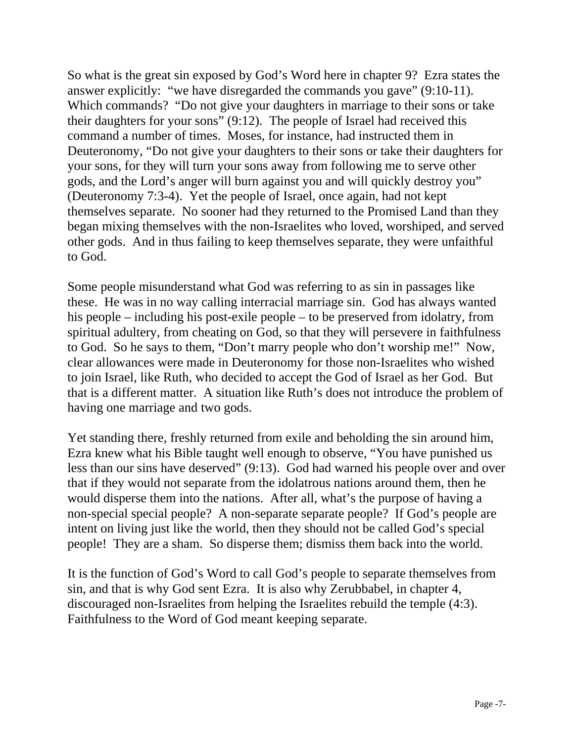So what is the great sin exposed by God's Word here in chapter 9? Ezra states the answer explicitly: "we have disregarded the commands you gave" (9:10-11). Which commands? "Do not give your daughters in marriage to their sons or take their daughters for your sons" (9:12). The people of Israel had received this command a number of times. Moses, for instance, had instructed them in Deuteronomy, "Do not give your daughters to their sons or take their daughters for your sons, for they will turn your sons away from following me to serve other gods, and the Lord's anger will burn against you and will quickly destroy you" (Deuteronomy 7:3-4). Yet the people of Israel, once again, had not kept themselves separate. No sooner had they returned to the Promised Land than they began mixing themselves with the non-Israelites who loved, worshiped, and served other gods. And in thus failing to keep themselves separate, they were unfaithful to God.

Some people misunderstand what God was referring to as sin in passages like these. He was in no way calling interracial marriage sin. God has always wanted his people – including his post-exile people – to be preserved from idolatry, from spiritual adultery, from cheating on God, so that they will persevere in faithfulness to God. So he says to them, "Don't marry people who don't worship me!" Now, clear allowances were made in Deuteronomy for those non-Israelites who wished to join Israel, like Ruth, who decided to accept the God of Israel as her God. But that is a different matter. A situation like Ruth's does not introduce the problem of having one marriage and two gods.

Yet standing there, freshly returned from exile and beholding the sin around him, Ezra knew what his Bible taught well enough to observe, "You have punished us less than our sins have deserved" (9:13). God had warned his people over and over that if they would not separate from the idolatrous nations around them, then he would disperse them into the nations. After all, what's the purpose of having a non-special special people? A non-separate separate people? If God's people are intent on living just like the world, then they should not be called God's special people! They are a sham. So disperse them; dismiss them back into the world.

It is the function of God's Word to call God's people to separate themselves from sin, and that is why God sent Ezra. It is also why Zerubbabel, in chapter 4, discouraged non-Israelites from helping the Israelites rebuild the temple (4:3). Faithfulness to the Word of God meant keeping separate.